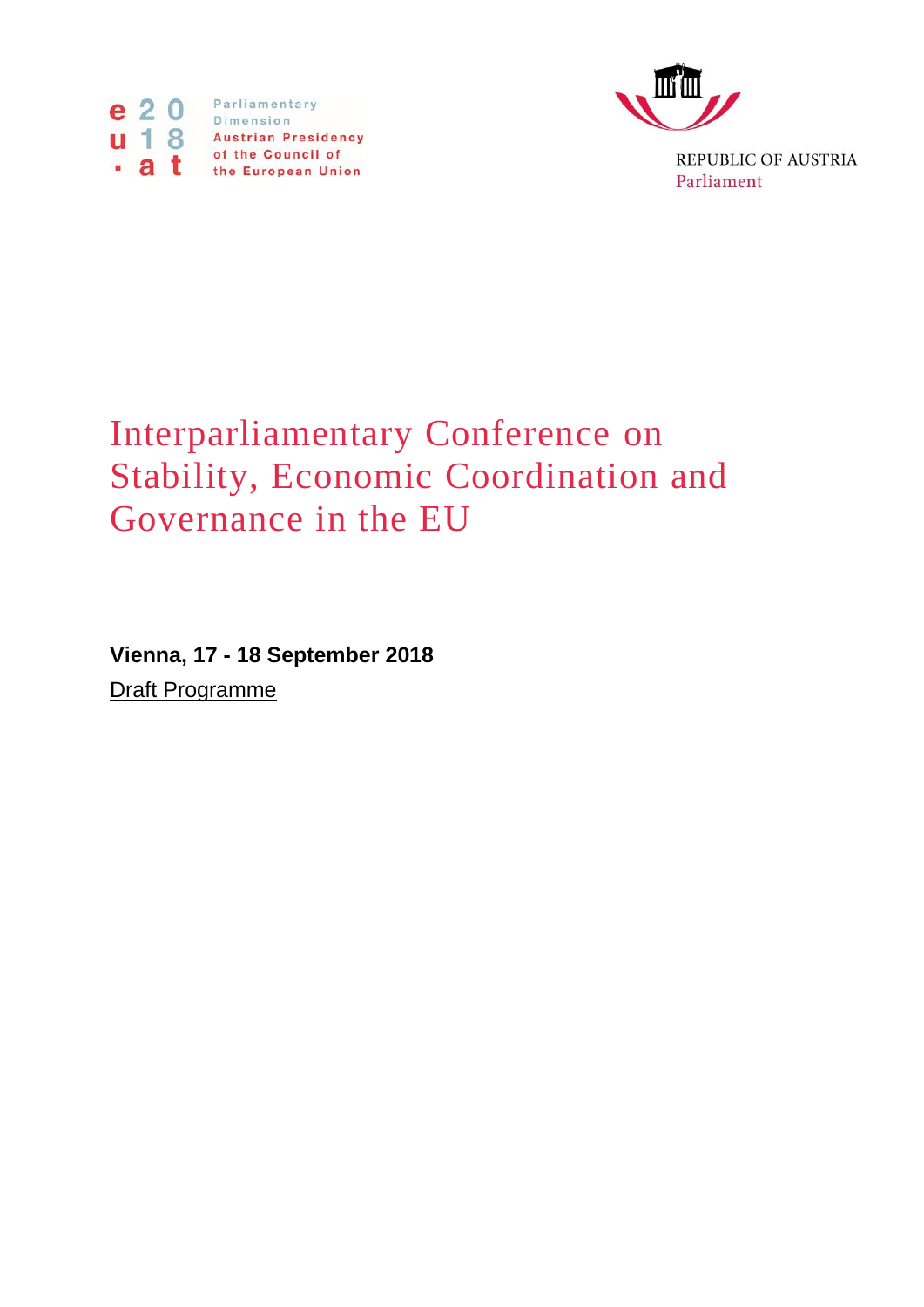



REPUBLIC OF AUSTRIA Parliament

## Interparliamentary Conference on Stability, Economic Coordination and Governance in the EU

**Vienna, 17 - 18 September 2018** Draft Programme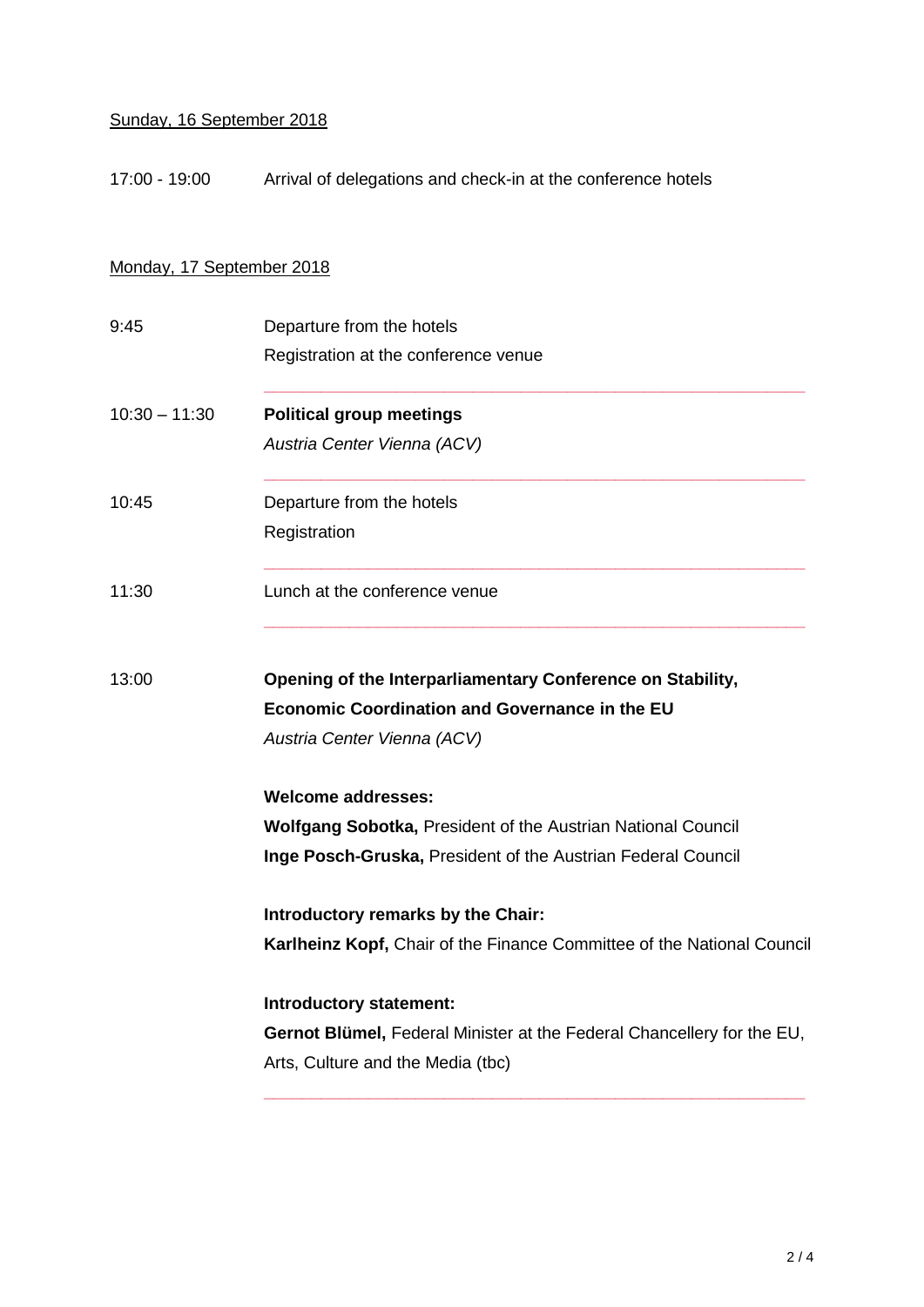## Sunday, 16 September 2018

17:00 - 19:00 Arrival of delegations and check-in at the conference hotels

## Monday, 17 September 2018

| 9:45            | Departure from the hotels                                              |
|-----------------|------------------------------------------------------------------------|
|                 | Registration at the conference venue                                   |
| $10:30 - 11:30$ | <b>Political group meetings</b>                                        |
|                 | Austria Center Vienna (ACV)                                            |
| 10:45           | Departure from the hotels                                              |
|                 | Registration                                                           |
| 11:30           | Lunch at the conference venue                                          |
| 13:00           | Opening of the Interparliamentary Conference on Stability,             |
|                 | <b>Economic Coordination and Governance in the EU</b>                  |
|                 | Austria Center Vienna (ACV)                                            |
|                 | <b>Welcome addresses:</b>                                              |
|                 | <b>Wolfgang Sobotka, President of the Austrian National Council</b>    |
|                 | Inge Posch-Gruska, President of the Austrian Federal Council           |
|                 | Introductory remarks by the Chair:                                     |
|                 | Karlheinz Kopf, Chair of the Finance Committee of the National Council |
|                 | Introductory statement:                                                |
|                 | Gernot Blümel, Federal Minister at the Federal Chancellery for the EU, |
|                 | Arts, Culture and the Media (tbc)                                      |
|                 |                                                                        |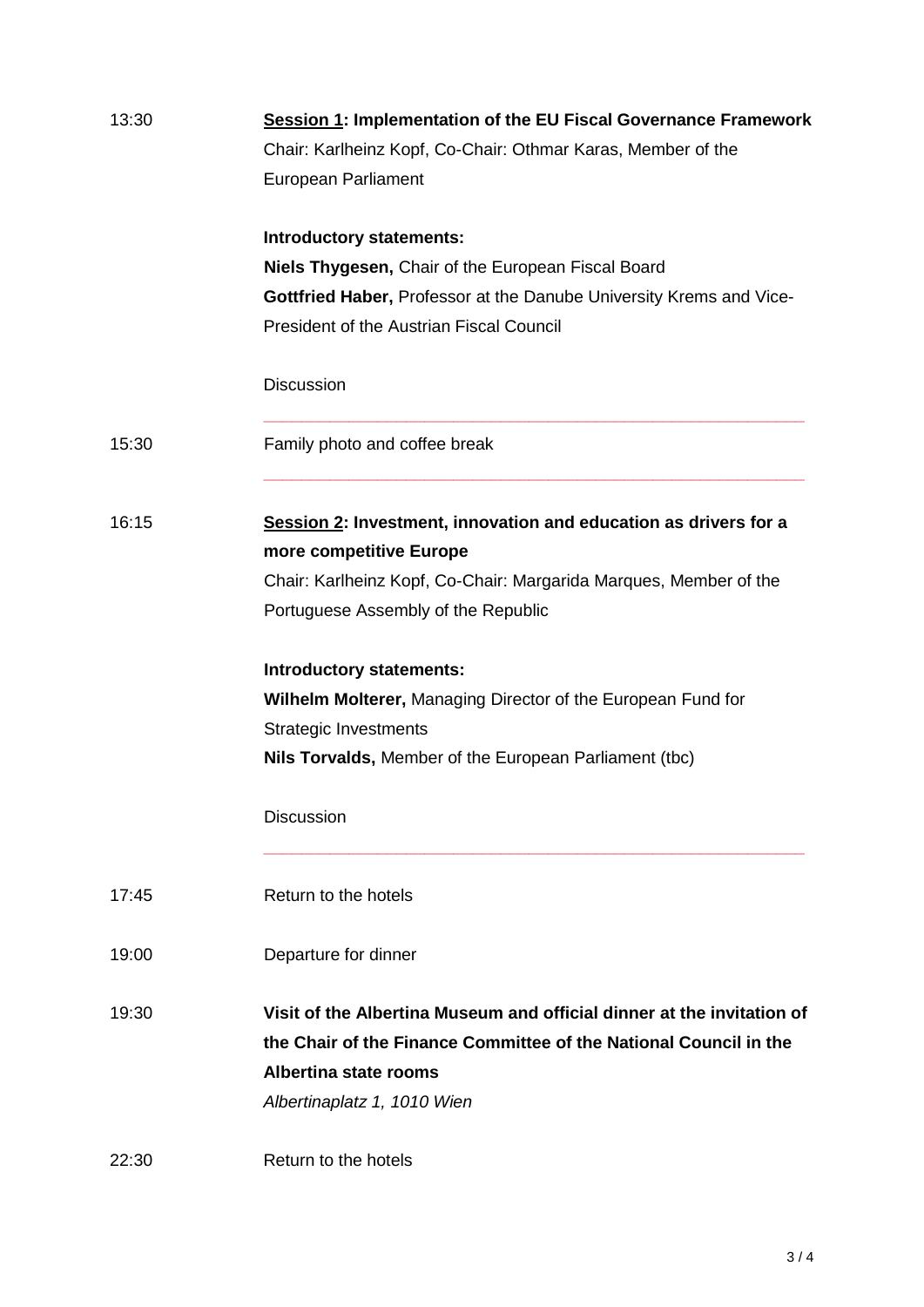| 13:30 | <b>Session 1: Implementation of the EU Fiscal Governance Framework</b> |
|-------|------------------------------------------------------------------------|
|       | Chair: Karlheinz Kopf, Co-Chair: Othmar Karas, Member of the           |
|       | European Parliament                                                    |
|       | <b>Introductory statements:</b>                                        |
|       | Niels Thygesen, Chair of the European Fiscal Board                     |
|       | Gottfried Haber, Professor at the Danube University Krems and Vice-    |
|       | <b>President of the Austrian Fiscal Council</b>                        |
|       | <b>Discussion</b>                                                      |
| 15:30 | Family photo and coffee break                                          |
| 16:15 | Session 2: Investment, innovation and education as drivers for a       |
|       | more competitive Europe                                                |
|       | Chair: Karlheinz Kopf, Co-Chair: Margarida Marques, Member of the      |
|       | Portuguese Assembly of the Republic                                    |
|       | <b>Introductory statements:</b>                                        |
|       | Wilhelm Molterer, Managing Director of the European Fund for           |
|       | <b>Strategic Investments</b>                                           |
|       | Nils Torvalds, Member of the European Parliament (tbc)                 |
|       | <b>Discussion</b>                                                      |
| 17:45 | Return to the hotels                                                   |
| 19:00 | Departure for dinner                                                   |
| 19:30 | Visit of the Albertina Museum and official dinner at the invitation of |
|       | the Chair of the Finance Committee of the National Council in the      |
|       | Albertina state rooms                                                  |
|       | Albertinaplatz 1, 1010 Wien                                            |
| 22:30 | Return to the hotels                                                   |